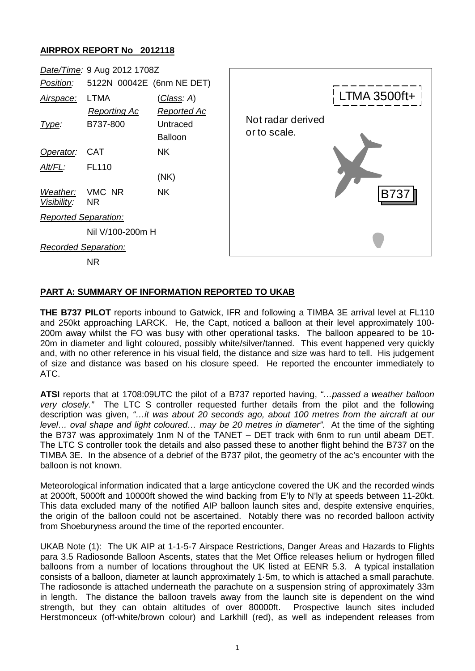## **AIRPROX REPORT No 2012118**

|                             | Date/Time: 9 Aug 2012 1708Z             |                                                      |                                   |                     |
|-----------------------------|-----------------------------------------|------------------------------------------------------|-----------------------------------|---------------------|
| Position:                   | 5122N 00042E (6nm NE DET)               |                                                      |                                   |                     |
| Airspace:<br>Type:          | LTMA<br><b>Reporting Ac</b><br>B737-800 | <u>(Class</u> : A)<br><b>Reported Ac</b><br>Untraced | Not radar derived<br>or to scale. | <b>LTMA 3500ft+</b> |
| Operator:                   | <b>CAT</b>                              | <b>Balloon</b><br><b>NK</b>                          |                                   |                     |
| Alt/FL:                     | <b>FL110</b>                            | (NK)                                                 |                                   |                     |
| Weather:<br>Visibility:     | VMC NR<br><b>NR</b>                     | <b>NK</b>                                            |                                   | <b>B737</b>         |
| Reported Separation:        |                                         |                                                      |                                   |                     |
|                             | Nil V/100-200m H                        |                                                      |                                   |                     |
| <b>Recorded Separation:</b> |                                         |                                                      |                                   |                     |
|                             | <b>NR</b>                               |                                                      |                                   |                     |

## **PART A: SUMMARY OF INFORMATION REPORTED TO UKAB**

**THE B737 PILOT** reports inbound to Gatwick, IFR and following a TIMBA 3E arrival level at FL110 and 250kt approaching LARCK. He, the Capt, noticed a balloon at their level approximately 100- 200m away whilst the FO was busy with other operational tasks. The balloon appeared to be 10- 20m in diameter and light coloured, possibly white/silver/tanned. This event happened very quickly and, with no other reference in his visual field, the distance and size was hard to tell. His judgement of size and distance was based on his closure speed. He reported the encounter immediately to ATC.

**ATSI** reports that at 1708:09UTC the pilot of a B737 reported having, *"…passed a weather balloon very closely."* The LTC S controller requested further details from the pilot and the following description was given, *"…it was about 20 seconds ago, about 100 metres from the aircraft at our level… oval shape and light coloured… may be 20 metres in diameter"*. At the time of the sighting the B737 was approximately 1nm N of the TANET – DET track with 6nm to run until abeam DET. The LTC S controller took the details and also passed these to another flight behind the B737 on the TIMBA 3E. In the absence of a debrief of the B737 pilot, the geometry of the ac's encounter with the balloon is not known.

Meteorological information indicated that a large anticyclone covered the UK and the recorded winds at 2000ft, 5000ft and 10000ft showed the wind backing from E'ly to N'ly at speeds between 11-20kt. This data excluded many of the notified AIP balloon launch sites and, despite extensive enquiries, the origin of the balloon could not be ascertained. Notably there was no recorded balloon activity from Shoeburyness around the time of the reported encounter.

UKAB Note (1): The UK AIP at 1-1-5-7 Airspace Restrictions, Danger Areas and Hazards to Flights para 3.5 Radiosonde Balloon Ascents, states that the Met Office releases helium or hydrogen filled balloons from a number of locations throughout the UK listed at EENR 5.3. A typical installation consists of a balloon, diameter at launch approximately 1·5m, to which is attached a small parachute. The radiosonde is attached underneath the parachute on a suspension string of approximately 33m in length. The distance the balloon travels away from the launch site is dependent on the wind strength, but they can obtain altitudes of over 80000ft. Prospective launch sites included Herstmonceux (off-white/brown colour) and Larkhill (red), as well as independent releases from